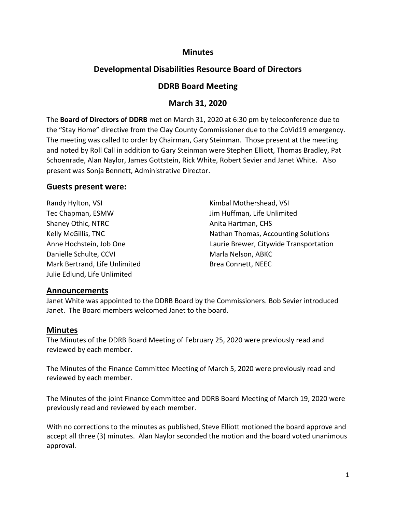## **Minutes**

# **Developmental Disabilities Resource Board of Directors**

## **DDRB Board Meeting**

### **March 31, 2020**

The **Board of Directors of DDRB** met on March 31, 2020 at 6:30 pm by teleconference due to the "Stay Home" directive from the Clay County Commissioner due to the CoVid19 emergency. The meeting was called to order by Chairman, Gary Steinman. Those present at the meeting and noted by Roll Call in addition to Gary Steinman were Stephen Elliott, Thomas Bradley, Pat Schoenrade, Alan Naylor, James Gottstein, Rick White, Robert Sevier and Janet White. Also present was Sonja Bennett, Administrative Director.

#### **Guests present were:**

Tec Chapman, ESMW Jim Huffman, Life Unlimited Shaney Othic, NTRC **Anita Hartman**, CHS Danielle Schulte, CCVI Marla Nelson, ABKC Mark Bertrand, Life Unlimited Brea Connett, NEEC Julie Edlund, Life Unlimited

Randy Hylton, VSI **Kimbal Mothershead, VSI** Kimbal Mothershead, VSI Kelly McGillis, TNC **Nathan Thomas, Accounting Solutions** Anne Hochstein, Job One Laurie Brewer, Citywide Transportation

#### **Announcements**

Janet White was appointed to the DDRB Board by the Commissioners. Bob Sevier introduced Janet. The Board members welcomed Janet to the board.

#### **Minutes**

The Minutes of the DDRB Board Meeting of February 25, 2020 were previously read and reviewed by each member.

The Minutes of the Finance Committee Meeting of March 5, 2020 were previously read and reviewed by each member.

The Minutes of the joint Finance Committee and DDRB Board Meeting of March 19, 2020 were previously read and reviewed by each member.

With no corrections to the minutes as published, Steve Elliott motioned the board approve and accept all three (3) minutes. Alan Naylor seconded the motion and the board voted unanimous approval.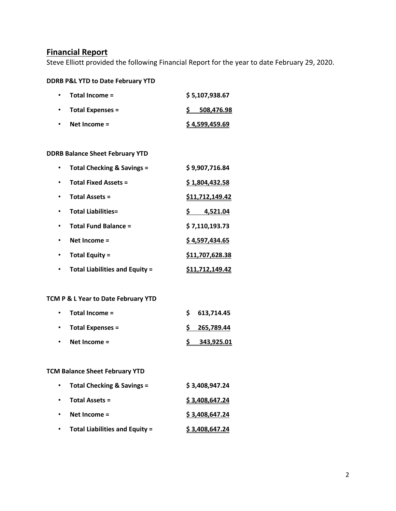### **Financial Report**

Steve Elliott provided the following Financial Report for the year to date February 29, 2020.

#### **DDRB P&L YTD to Date February YTD**

| Total Income =          | \$5,107,938.67 |  |  |
|-------------------------|----------------|--|--|
| <b>Total Expenses =</b> | 508,476.98     |  |  |
| Net Income $=$          | \$4,599,459.69 |  |  |

#### **DDRB Balance Sheet February YTD**

| <b>Total Checking &amp; Savings =</b> | \$9,907,716.84  |
|---------------------------------------|-----------------|
| <b>Total Fixed Assets =</b>           | \$1,804,432.58  |
| <b>Total Assets =</b>                 | \$11,712,149.42 |
| <b>Total Liabilities=</b>             | 4,521.04        |
| <b>Total Fund Balance =</b>           | \$7,110,193.73  |
| Net Income $=$                        | \$4,597,434.65  |
| Total Equity =                        | \$11,707,628.38 |
| <b>Total Liabilities and Equity =</b> | \$11,712,149.42 |

### **TCM P & L Year to Date February YTD**

|           | $\cdot$ Total Income =   | \$613,714.45   |
|-----------|--------------------------|----------------|
|           | $\cdot$ Total Expenses = | \$ 265,789.44  |
| $\bullet$ | Net Income $=$           | $S$ 343,925.01 |

#### **TCM Balance Sheet February YTD**

| $\bullet$ | <b>Total Checking &amp; Savings =</b> | \$3,408,947.24 |
|-----------|---------------------------------------|----------------|
| $\bullet$ | <b>Total Assets =</b>                 | \$3,408,647.24 |
|           | Net Income $=$                        | \$3,408,647.24 |
|           | <b>Total Liabilities and Equity =</b> | \$3,408,647.24 |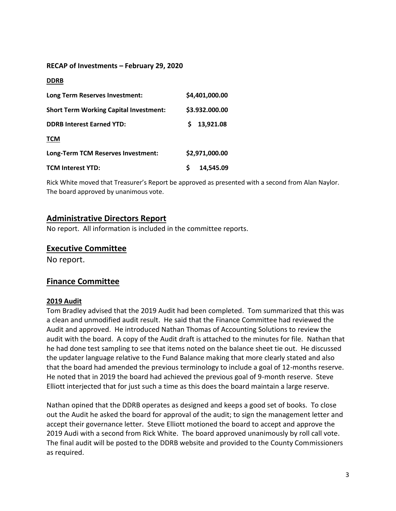#### **RECAP of Investments – February 29, 2020**

#### **DDRB**

| Long Term Reserves Investment:                | \$4,401,000.00 |
|-----------------------------------------------|----------------|
| <b>Short Term Working Capital Investment:</b> | \$3.932.000.00 |
| <b>DDRB Interest Earned YTD:</b>              | 13,921.08<br>S |
| <b>TCM</b>                                    |                |
| Long-Term TCM Reserves Investment:            | \$2,971,000.00 |
| <b>TCM Interest YTD:</b>                      | 14,545.09      |

Rick White moved that Treasurer's Report be approved as presented with a second from Alan Naylor. The board approved by unanimous vote.

### **Administrative Directors Report**

No report. All information is included in the committee reports.

#### **Executive Committee**

No report.

## **Finance Committee**

#### **2019 Audit**

Tom Bradley advised that the 2019 Audit had been completed. Tom summarized that this was a clean and unmodified audit result. He said that the Finance Committee had reviewed the Audit and approved. He introduced Nathan Thomas of Accounting Solutions to review the audit with the board. A copy of the Audit draft is attached to the minutes for file. Nathan that he had done test sampling to see that items noted on the balance sheet tie out. He discussed the updater language relative to the Fund Balance making that more clearly stated and also that the board had amended the previous terminology to include a goal of 12-months reserve. He noted that in 2019 the board had achieved the previous goal of 9-month reserve. Steve Elliott interjected that for just such a time as this does the board maintain a large reserve.

Nathan opined that the DDRB operates as designed and keeps a good set of books. To close out the Audit he asked the board for approval of the audit; to sign the management letter and accept their governance letter. Steve Elliott motioned the board to accept and approve the 2019 Audi with a second from Rick White. The board approved unanimously by roll call vote. The final audit will be posted to the DDRB website and provided to the County Commissioners as required.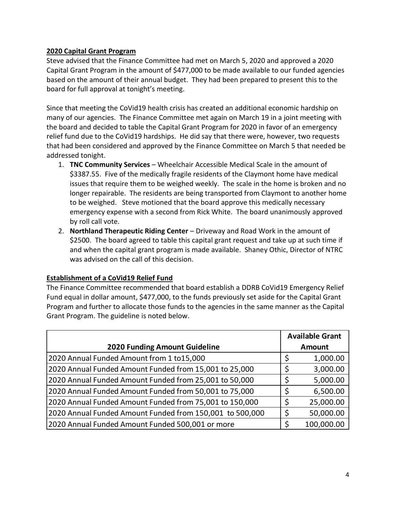#### **2020 Capital Grant Program**

Steve advised that the Finance Committee had met on March 5, 2020 and approved a 2020 Capital Grant Program in the amount of \$477,000 to be made available to our funded agencies based on the amount of their annual budget. They had been prepared to present this to the board for full approval at tonight's meeting.

Since that meeting the CoVid19 health crisis has created an additional economic hardship on many of our agencies. The Finance Committee met again on March 19 in a joint meeting with the board and decided to table the Capital Grant Program for 2020 in favor of an emergency relief fund due to the CoVid19 hardships. He did say that there were, however, two requests that had been considered and approved by the Finance Committee on March 5 that needed be addressed tonight.

- 1. **TNC Community Services** Wheelchair Accessible Medical Scale in the amount of \$3387.55. Five of the medically fragile residents of the Claymont home have medical issues that require them to be weighed weekly. The scale in the home is broken and no longer repairable. The residents are being transported from Claymont to another home to be weighed. Steve motioned that the board approve this medically necessary emergency expense with a second from Rick White. The board unanimously approved by roll call vote.
- 2. **Northland Therapeutic Riding Center**  Driveway and Road Work in the amount of \$2500. The board agreed to table this capital grant request and take up at such time if and when the capital grant program is made available. Shaney Othic, Director of NTRC was advised on the call of this decision.

## **Establishment of a CoVid19 Relief Fund**

The Finance Committee recommended that board establish a DDRB CoVid19 Emergency Relief Fund equal in dollar amount, \$477,000, to the funds previously set aside for the Capital Grant Program and further to allocate those funds to the agencies in the same manner as the Capital Grant Program. The guideline is noted below.

|                                                          |   | <b>Available Grant</b> |
|----------------------------------------------------------|---|------------------------|
| <b>2020 Funding Amount Guideline</b>                     |   | <b>Amount</b>          |
| 2020 Annual Funded Amount from 1 to15,000                |   | 1,000.00               |
| 2020 Annual Funded Amount Funded from 15,001 to 25,000   | Ć | 3,000.00               |
| 2020 Annual Funded Amount Funded from 25,001 to 50,000   |   | 5,000.00               |
| 2020 Annual Funded Amount Funded from 50,001 to 75,000   |   | 6,500.00               |
| 2020 Annual Funded Amount Funded from 75,001 to 150,000  |   | 25,000.00              |
| 2020 Annual Funded Amount Funded from 150,001 to 500,000 |   | 50,000.00              |
| 2020 Annual Funded Amount Funded 500,001 or more         |   | 100,000.00             |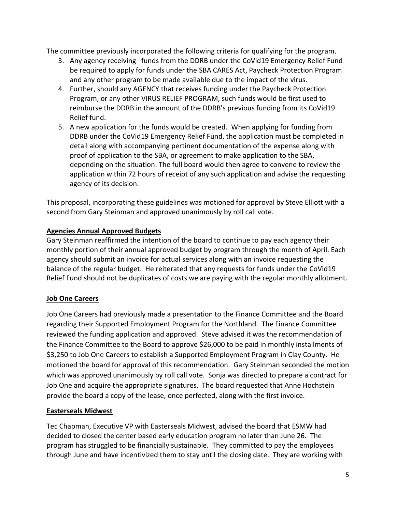The committee previously incorporated the following criteria for qualifying for the program.

- 3. Any agency receiving funds from the DDRB under the CoVid19 Emergency Relief Fund be required to apply for funds under the SBA CARES Act, Paycheck Protection Program and any other program to be made available due to the impact of the virus.
- 4. Further, should any AGENCY that receives funding under the Paycheck Protection Program, or any other VIRUS RELIEF PROGRAM, such funds would be first used to reimburse the DDRB in the amount of the DDRB's previous funding from its CoVid19 Relief fund.
- 5. A new application for the funds would be created. When applying for funding from DDRB under the CoVid19 Emergency Relief Fund, the application must be completed in detail along with accompanying pertinent documentation of the expense along with proof of application to the SBA, or agreement to make application to the SBA, depending on the situation. The full board would then agree to convene to review the application within 72 hours of receipt of any such application and advise the requesting agency of its decision.

This proposal, incorporating these guidelines was motioned for approval by Steve Elliott with a second from Gary Steinman and approved unanimously by roll call vote.

### **Agencies Annual Approved Budgets**

Gary Steinman reaffirmed the intention of the board to continue to pay each agency their monthly portion of their annual approved budget by program through the month of April. Each agency should submit an invoice for actual services along with an invoice requesting the balance of the regular budget. He reiterated that any requests for funds under the CoVid19 Relief Fund should not be duplicates of costs we are paying with the regular monthly allotment.

## **Job One Careers**

Job One Careers had previously made a presentation to the Finance Committee and the Board regarding their Supported Employment Program for the Northland. The Finance Committee reviewed the funding application and approved. Steve advised it was the recommendation of the Finance Committee to the Board to approve \$26,000 to be paid in monthly installments of \$3,250 to Job One Careers to establish a Supported Employment Program in Clay County. He motioned the board for approval of this recommendation. Gary Steinman seconded the motion which was approved unanimously by roll call vote. Sonja was directed to prepare a contract for Job One and acquire the appropriate signatures. The board requested that Anne Hochstein provide the board a copy of the lease, once perfected, along with the first invoice.

#### **Easterseals Midwest**

Tec Chapman, Executive VP with Easterseals Midwest, advised the board that ESMW had decided to closed the center based early education program no later than June 26. The program has struggled to be financially sustainable. They committed to pay the employees through June and have incentivized them to stay until the closing date. They are working with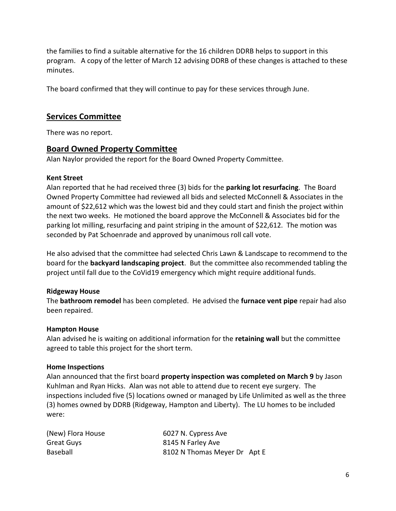the families to find a suitable alternative for the 16 children DDRB helps to support in this program. A copy of the letter of March 12 advising DDRB of these changes is attached to these minutes.

The board confirmed that they will continue to pay for these services through June.

## **Services Committee**

There was no report.

### **Board Owned Property Committee**

Alan Naylor provided the report for the Board Owned Property Committee.

#### **Kent Street**

Alan reported that he had received three (3) bids for the **parking lot resurfacing**. The Board Owned Property Committee had reviewed all bids and selected McConnell & Associates in the amount of \$22,612 which was the lowest bid and they could start and finish the project within the next two weeks. He motioned the board approve the McConnell & Associates bid for the parking lot milling, resurfacing and paint striping in the amount of \$22,612. The motion was seconded by Pat Schoenrade and approved by unanimous roll call vote.

He also advised that the committee had selected Chris Lawn & Landscape to recommend to the board for the **backyard landscaping project**. But the committee also recommended tabling the project until fall due to the CoVid19 emergency which might require additional funds.

#### **Ridgeway House**

The **bathroom remodel** has been completed. He advised the **furnace vent pipe** repair had also been repaired.

#### **Hampton House**

Alan advised he is waiting on additional information for the **retaining wall** but the committee agreed to table this project for the short term.

#### **Home Inspections**

Alan announced that the first board **property inspection was completed on March 9** by Jason Kuhlman and Ryan Hicks. Alan was not able to attend due to recent eye surgery. The inspections included five (5) locations owned or managed by Life Unlimited as well as the three (3) homes owned by DDRB (Ridgeway, Hampton and Liberty). The LU homes to be included were:

| (New) Flora House | 6027 N. Cypress Ave          |  |
|-------------------|------------------------------|--|
| Great Guys        | 8145 N Farley Ave            |  |
| Baseball          | 8102 N Thomas Meyer Dr Apt E |  |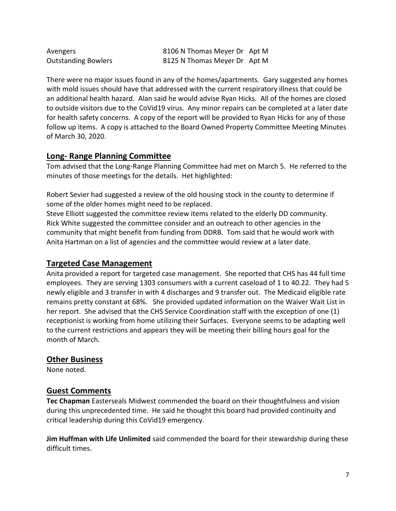| Avengers                   | 8106 N Thomas Meyer Dr Apt M |  |
|----------------------------|------------------------------|--|
| <b>Outstanding Bowlers</b> | 8125 N Thomas Meyer Dr Apt M |  |

There were no major issues found in any of the homes/apartments. Gary suggested any homes with mold issues should have that addressed with the current respiratory illness that could be an additional health hazard. Alan said he would advise Ryan Hicks. All of the homes are closed to outside visitors due to the CoVid19 virus. Any minor repairs can be completed at a later date for health safety concerns. A copy of the report will be provided to Ryan Hicks for any of those follow up items. A copy is attached to the Board Owned Property Committee Meeting Minutes of March 30, 2020.

## **Long- Range Planning Committee**

Tom advised that the Long-Range Planning Committee had met on March 5. He referred to the minutes of those meetings for the details. Het highlighted:

Robert Sevier had suggested a review of the old housing stock in the county to determine if some of the older homes might need to be replaced.

Steve Elliott suggested the committee review items related to the elderly DD community. Rick White suggested the committee consider and an outreach to other agencies in the community that might benefit from funding from DDRB. Tom said that he would work with Anita Hartman on a list of agencies and the committee would review at a later date.

# **Targeted Case Management**

Anita provided a report for targeted case management. She reported that CHS has 44 full time employees. They are serving 1303 consumers with a current caseload of 1 to 40.22. They had 5 newly eligible and 3 transfer in with 4 discharges and 9 transfer out. The Medicaid eligible rate remains pretty constant at 68%. She provided updated information on the Waiver Wait List in her report. She advised that the CHS Service Coordination staff with the exception of one (1) receptionist is working from home utilizing their Surfaces. Everyone seems to be adapting well to the current restrictions and appears they will be meeting their billing hours goal for the month of March.

## **Other Business**

None noted.

## **Guest Comments**

**Tec Chapman** Easterseals Midwest commended the board on their thoughtfulness and vision during this unprecedented time. He said he thought this board had provided continuity and critical leadership during this CoVid19 emergency.

**Jim Huffman with Life Unlimited** said commended the board for their stewardship during these difficult times.